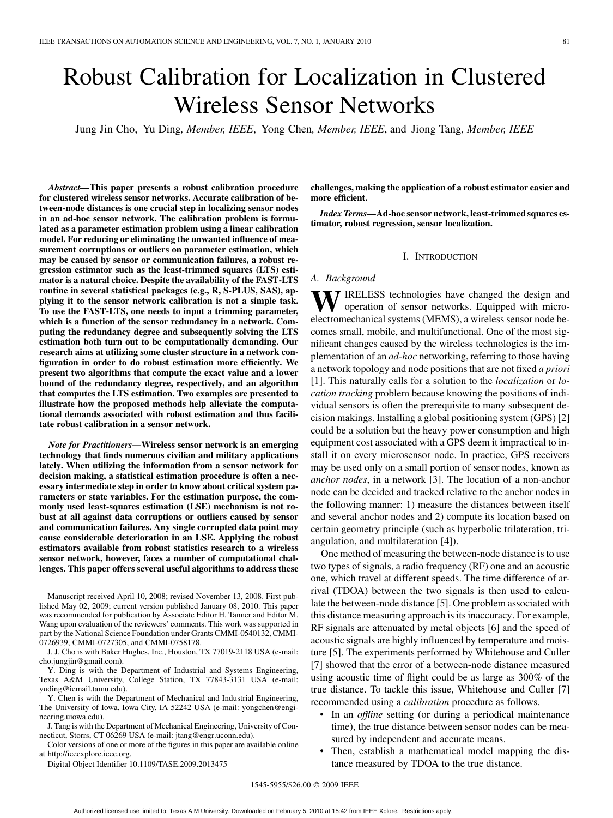# Robust Calibration for Localization in Clustered Wireless Sensor Networks

Jung Jin Cho, Yu Ding*, Member, IEEE*, Yong Chen*, Member, IEEE*, and Jiong Tang*, Member, IEEE*

*Abstract—***This paper presents a robust calibration procedure for clustered wireless sensor networks. Accurate calibration of between-node distances is one crucial step in localizing sensor nodes in an ad-hoc sensor network. The calibration problem is formulated as a parameter estimation problem using a linear calibration model. For reducing or eliminating the unwanted influence of measurement corruptions or outliers on parameter estimation, which may be caused by sensor or communication failures, a robust regression estimator such as the least-trimmed squares (LTS) estimator is a natural choice. Despite the availability of the FAST-LTS routine in several statistical packages (e.g., R, S-PLUS, SAS), applying it to the sensor network calibration is not a simple task. To use the FAST-LTS, one needs to input a trimming parameter, which is a function of the sensor redundancy in a network. Computing the redundancy degree and subsequently solving the LTS estimation both turn out to be computationally demanding. Our research aims at utilizing some cluster structure in a network configuration in order to do robust estimation more efficiently. We present two algorithms that compute the exact value and a lower bound of the redundancy degree, respectively, and an algorithm that computes the LTS estimation. Two examples are presented to illustrate how the proposed methods help alleviate the computational demands associated with robust estimation and thus facilitate robust calibration in a sensor network.**

*Note for Practitioners—***Wireless sensor network is an emerging technology that finds numerous civilian and military applications lately. When utilizing the information from a sensor network for decision making, a statistical estimation procedure is often a necessary intermediate step in order to know about critical system parameters or state variables. For the estimation purpose, the commonly used least-squares estimation (LSE) mechanism is not robust at all against data corruptions or outliers caused by sensor and communication failures. Any single corrupted data point may cause considerable deterioration in an LSE. Applying the robust estimators available from robust statistics research to a wireless sensor network, however, faces a number of computational challenges. This paper offers several useful algorithms to address these**

Manuscript received April 10, 2008; revised November 13, 2008. First published May 02, 2009; current version published January 08, 2010. This paper was recommended for publication by Associate Editor H. Tanner and Editor M. Wang upon evaluation of the reviewers' comments. This work was supported in part by the National Science Foundation under Grants CMMI-0540132, CMMI-0726939, CMMI-0727305, and CMMI-0758178.

J. J. Cho is with Baker Hughes, Inc., Houston, TX 77019-2118 USA (e-mail: cho.jungjin@gmail.com).

Y. Ding is with the Department of Industrial and Systems Engineering, Texas A&M University, College Station, TX 77843-3131 USA (e-mail: yuding@iemail.tamu.edu).

Y. Chen is with the Department of Mechanical and Industrial Engineering, The University of Iowa, Iowa City, IA 52242 USA (e-mail: yongchen@engineering.uiowa.edu).

J. Tang is with the Department of Mechanical Engineering, University of Connecticut, Storrs, CT 06269 USA (e-mail: jtang@engr.uconn.edu).

Color versions of one or more of the figures in this paper are available online at http://ieeexplore.ieee.org.

Digital Object Identifier 10.1109/TASE.2009.2013475

**challenges, making the application of a robust estimator easier and more efficient.**

*Index Terms—***Ad-hoc sensor network, least-trimmed squares estimator, robust regression, sensor localization.**

#### I. INTRODUCTION

### *A. Background*

**WIRELESS** technologies have changed the design and operation of sensor networks. Equipped with microelectromechanical systems (MEMS), a wireless sensor node becomes small, mobile, and multifunctional. One of the most significant changes caused by the wireless technologies is the implementation of an *ad-hoc* networking, referring to those having a network topology and node positions that are not fixed *a priori* [1]. This naturally calls for a solution to the *localization* or *location tracking* problem because knowing the positions of individual sensors is often the prerequisite to many subsequent decision makings. Installing a global positioning system (GPS) [2] could be a solution but the heavy power consumption and high equipment cost associated with a GPS deem it impractical to install it on every microsensor node. In practice, GPS receivers may be used only on a small portion of sensor nodes, known as *anchor nodes*, in a network [3]. The location of a non-anchor node can be decided and tracked relative to the anchor nodes in the following manner: 1) measure the distances between itself and several anchor nodes and 2) compute its location based on certain geometry principle (such as hyperbolic trilateration, triangulation, and multilateration [4]).

One method of measuring the between-node distance is to use two types of signals, a radio frequency (RF) one and an acoustic one, which travel at different speeds. The time difference of arrival (TDOA) between the two signals is then used to calculate the between-node distance [5]. One problem associated with this distance measuring approach is its inaccuracy. For example, RF signals are attenuated by metal objects [6] and the speed of acoustic signals are highly influenced by temperature and moisture [5]. The experiments performed by Whitehouse and Culler [7] showed that the error of a between-node distance measured using acoustic time of flight could be as large as 300% of the true distance. To tackle this issue, Whitehouse and Culler [7] recommended using a *calibration* procedure as follows.

- In an *offline* setting (or during a periodical maintenance time), the true distance between sensor nodes can be measured by independent and accurate means.
- Then, establish a mathematical model mapping the distance measured by TDOA to the true distance.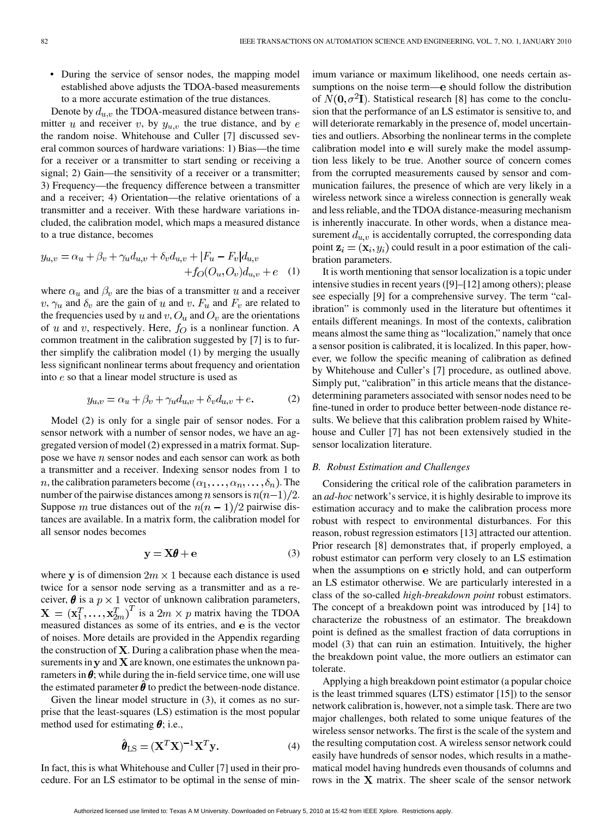• During the service of sensor nodes, the mapping model established above adjusts the TDOA-based measurements to a more accurate estimation of the true distances.

Denote by  $d_{u,v}$  the TDOA-measured distance between transmitter u and receiver v, by  $y_{u,v}$  the true distance, and by e the random noise. Whitehouse and Culler [7] discussed several common sources of hardware variations: 1) Bias—the time for a receiver or a transmitter to start sending or receiving a signal; 2) Gain—the sensitivity of a receiver or a transmitter; 3) Frequency—the frequency difference between a transmitter and a receiver; 4) Orientation—the relative orientations of a transmitter and a receiver. With these hardware variations included, the calibration model, which maps a measured distance to a true distance, becomes

$$
y_{u,v} = \alpha_u + \beta_v + \gamma_u d_{u,v} + \delta_v d_{u,v} + |F_u - F_v| d_{u,v} + f_O(O_u, O_v) d_{u,v} + e \quad (1)
$$

where  $\alpha_u$  and  $\beta_v$  are the bias of a transmitter u and a receiver v,  $\gamma_u$  and  $\delta_v$  are the gain of u and v,  $F_u$  and  $F_v$  are related to the frequencies used by u and  $v$ ,  $O_u$  and  $O_v$  are the orientations of u and v, respectively. Here,  $f_O$  is a nonlinear function. A common treatment in the calibration suggested by [7] is to further simplify the calibration model (1) by merging the usually less significant nonlinear terms about frequency and orientation into  $e$  so that a linear model structure is used as

$$
y_{u,v} = \alpha_u + \beta_v + \gamma_u d_{u,v} + \delta_v d_{u,v} + e.
$$
 (2)

Model (2) is only for a single pair of sensor nodes. For a sensor network with a number of sensor nodes, we have an aggregated version of model (2) expressed in a matrix format. Suppose we have  $n$  sensor nodes and each sensor can work as both a transmitter and a receiver. Indexing sensor nodes from 1 to *n*, the calibration parameters become  $(\alpha_1, \ldots, \alpha_n, \ldots, \delta_n)$ . The number of the pairwise distances among *n* sensors is  $n(n-1)/2$ . Suppose m true distances out of the  $n(n-1)/2$  pairwise distances are available. In a matrix form, the calibration model for all sensor nodes becomes

$$
y = X\theta + e \tag{3}
$$

where y is of dimension  $2m \times 1$  because each distance is used twice for a sensor node serving as a transmitter and as a receiver,  $\theta$  is a  $p \times 1$  vector of unknown calibration parameters, is a  $2m \times p$  matrix having the TDOA measured distances as some of its entries, and e is the vector of noises. More details are provided in the Appendix regarding the construction of **X**. During a calibration phase when the measurements in y and  $X$  are known, one estimates the unknown parameters in  $\theta$ ; while during the in-field service time, one will use the estimated parameter  $\hat{\theta}$  to predict the between-node distance.

Given the linear model structure in (3), it comes as no surprise that the least-squares (LS) estimation is the most popular method used for estimating  $\theta$ ; i.e.,

$$
\hat{\boldsymbol{\theta}}_{\text{LS}} = (\mathbf{X}^T \mathbf{X})^{-1} \mathbf{X}^T \mathbf{y}.
$$
 (4)

In fact, this is what Whitehouse and Culler [7] used in their procedure. For an LS estimator to be optimal in the sense of min-

imum variance or maximum likelihood, one needs certain assumptions on the noise term—e should follow the distribution of  $N(\mathbf{0}, \sigma^2 \mathbf{I})$ . Statistical research [8] has come to the conclusion that the performance of an LS estimator is sensitive to, and will deteriorate remarkably in the presence of, model uncertainties and outliers. Absorbing the nonlinear terms in the complete calibration model into e will surely make the model assumption less likely to be true. Another source of concern comes from the corrupted measurements caused by sensor and communication failures, the presence of which are very likely in a wireless network since a wireless connection is generally weak and less reliable, and the TDOA distance-measuring mechanism is inherently inaccurate. In other words, when a distance measurement  $d_{u,v}$  is accidentally corrupted, the corresponding data point  $z_i = (x_i, y_i)$  could result in a poor estimation of the calibration parameters.

It is worth mentioning that sensor localization is a topic under intensive studies in recent years ([9]–[12] among others); please see especially [9] for a comprehensive survey. The term "calibration" is commonly used in the literature but oftentimes it entails different meanings. In most of the contexts, calibration means almost the same thing as "localization," namely that once a sensor position is calibrated, it is localized. In this paper, however, we follow the specific meaning of calibration as defined by Whitehouse and Culler's [7] procedure, as outlined above. Simply put, "calibration" in this article means that the distancedetermining parameters associated with sensor nodes need to be fine-tuned in order to produce better between-node distance results. We believe that this calibration problem raised by Whitehouse and Culler [7] has not been extensively studied in the sensor localization literature.

## *B. Robust Estimation and Challenges*

Considering the critical role of the calibration parameters in an *ad-hoc* network's service, it is highly desirable to improve its estimation accuracy and to make the calibration process more robust with respect to environmental disturbances. For this reason, robust regression estimators [13] attracted our attention. Prior research [8] demonstrates that, if properly employed, a robust estimator can perform very closely to an LS estimation when the assumptions on e strictly hold, and can outperform an LS estimator otherwise. We are particularly interested in a class of the so-called *high-breakdown point* robust estimators. The concept of a breakdown point was introduced by [14] to characterize the robustness of an estimator. The breakdown point is defined as the smallest fraction of data corruptions in model (3) that can ruin an estimation. Intuitively, the higher the breakdown point value, the more outliers an estimator can tolerate.

Applying a high breakdown point estimator (a popular choice is the least trimmed squares (LTS) estimator [15]) to the sensor network calibration is, however, not a simple task. There are two major challenges, both related to some unique features of the wireless sensor networks. The first is the scale of the system and the resulting computation cost. A wireless sensor network could easily have hundreds of sensor nodes, which results in a mathematical model having hundreds even thousands of columns and rows in the  $X$  matrix. The sheer scale of the sensor network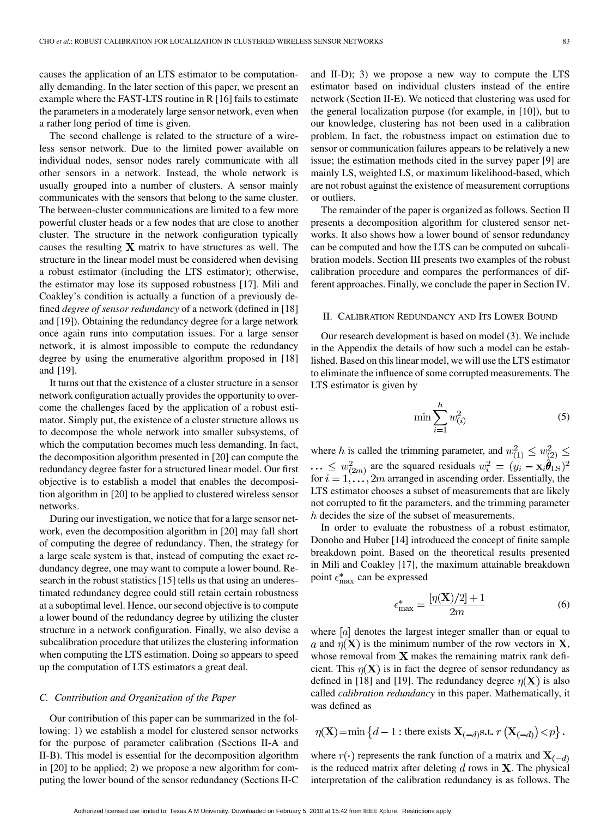causes the application of an LTS estimator to be computationally demanding. In the later section of this paper, we present an example where the FAST-LTS routine in R [16] fails to estimate the parameters in a moderately large sensor network, even when a rather long period of time is given.

The second challenge is related to the structure of a wireless sensor network. Due to the limited power available on individual nodes, sensor nodes rarely communicate with all other sensors in a network. Instead, the whole network is usually grouped into a number of clusters. A sensor mainly communicates with the sensors that belong to the same cluster. The between-cluster communications are limited to a few more powerful cluster heads or a few nodes that are close to another cluster. The structure in the network configuration typically causes the resulting  $X$  matrix to have structures as well. The structure in the linear model must be considered when devising a robust estimator (including the LTS estimator); otherwise, the estimator may lose its supposed robustness [17]. Mili and Coakley's condition is actually a function of a previously defined *degree of sensor redundancy* of a network (defined in [18] and [19]). Obtaining the redundancy degree for a large network once again runs into computation issues. For a large sensor network, it is almost impossible to compute the redundancy degree by using the enumerative algorithm proposed in [18] and [19].

It turns out that the existence of a cluster structure in a sensor network configuration actually provides the opportunity to overcome the challenges faced by the application of a robust estimator. Simply put, the existence of a cluster structure allows us to decompose the whole network into smaller subsystems, of which the computation becomes much less demanding. In fact, the decomposition algorithm presented in [20] can compute the redundancy degree faster for a structured linear model. Our first objective is to establish a model that enables the decomposition algorithm in [20] to be applied to clustered wireless sensor networks.

During our investigation, we notice that for a large sensor network, even the decomposition algorithm in [20] may fall short of computing the degree of redundancy. Then, the strategy for a large scale system is that, instead of computing the exact redundancy degree, one may want to compute a lower bound. Research in the robust statistics [15] tells us that using an underestimated redundancy degree could still retain certain robustness at a suboptimal level. Hence, our second objective is to compute a lower bound of the redundancy degree by utilizing the cluster structure in a network configuration. Finally, we also devise a subcalibration procedure that utilizes the clustering information when computing the LTS estimation. Doing so appears to speed up the computation of LTS estimators a great deal.

#### *C. Contribution and Organization of the Paper*

Our contribution of this paper can be summarized in the following: 1) we establish a model for clustered sensor networks for the purpose of parameter calibration (Sections II-A and II-B). This model is essential for the decomposition algorithm in [20] to be applied; 2) we propose a new algorithm for computing the lower bound of the sensor redundancy (Sections II-C

and II-D); 3) we propose a new way to compute the LTS estimator based on individual clusters instead of the entire network (Section II-E). We noticed that clustering was used for the general localization purpose (for example, in [10]), but to our knowledge, clustering has not been used in a calibration problem. In fact, the robustness impact on estimation due to sensor or communication failures appears to be relatively a new issue; the estimation methods cited in the survey paper [9] are mainly LS, weighted LS, or maximum likelihood-based, which are not robust against the existence of measurement corruptions or outliers.

The remainder of the paper is organized as follows. Section II presents a decomposition algorithm for clustered sensor networks. It also shows how a lower bound of sensor redundancy can be computed and how the LTS can be computed on subcalibration models. Section III presents two examples of the robust calibration procedure and compares the performances of different approaches. Finally, we conclude the paper in Section IV.

#### II. CALIBRATION REDUNDANCY AND ITS LOWER BOUND

Our research development is based on model (3). We include in the Appendix the details of how such a model can be established. Based on this linear model, we will use the LTS estimator to eliminate the influence of some corrupted measurements. The LTS estimator is given by

$$
\min \sum_{i=1}^{h} w_{(i)}^2 \tag{5}
$$

where h is called the trimming parameter, and  $w_{(1)}^2 \leq w_{(2)}^2 \leq$ are the squared residuals for  $i = 1, \ldots, 2m$  arranged in ascending order. Essentially, the LTS estimator chooses a subset of measurements that are likely not corrupted to fit the parameters, and the trimming parameter  $h$  decides the size of the subset of measurements.

In order to evaluate the robustness of a robust estimator, Donoho and Huber [14] introduced the concept of finite sample breakdown point. Based on the theoretical results presented in Mili and Coakley [17], the maximum attainable breakdown point  $\epsilon_{\text{max}}^*$  can be expressed

$$
\epsilon_{\max}^* = \frac{[\eta(\mathbf{X})/2] + 1}{2m} \tag{6}
$$

where  $[a]$  denotes the largest integer smaller than or equal to a and  $\eta(X)$  is the minimum number of the row vectors in X, whose removal from  $X$  makes the remaining matrix rank deficient. This  $\eta(\mathbf{X})$  is in fact the degree of sensor redundancy as defined in [18] and [19]. The redundancy degree  $\eta(\mathbf{X})$  is also called *calibration redundancy* in this paper. Mathematically, it was defined as

$$
\eta(\mathbf{X})\!=\!\min\big\{d-1:\text{there exists }\mathbf{X}_{(-d)}\text{s.t.} \; r\left(\mathbf{X}_{(-d)}\right)\!<\!p\big\}
$$

where  $r(\cdot)$  represents the rank function of a matrix and  $X_{(-d)}$ is the reduced matrix after deleting  $d$  rows in  $X$ . The physical interpretation of the calibration redundancy is as follows. The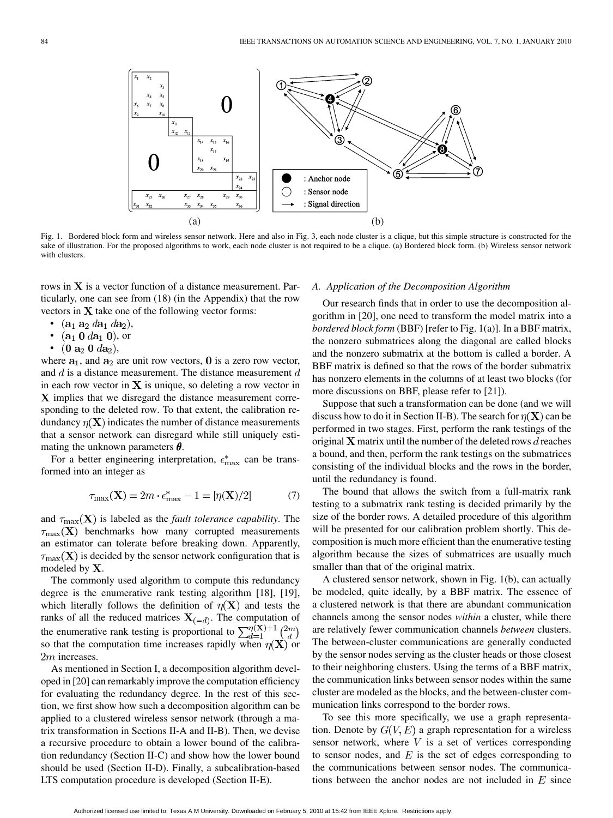

Fig. 1. Bordered block form and wireless sensor network. Here and also in Fig. 3, each node cluster is a clique, but this simple structure is constructed for the sake of illustration. For the proposed algorithms to work, each node cluster is not required to be a clique. (a) Bordered block form. (b) Wireless sensor network with clusters.

rows in  $X$  is a vector function of a distance measurement. Particularly, one can see from (18) (in the Appendix) that the row vectors in  $X$  take one of the following vector forms:

- $(a_1 a_2 da_1 da_2)$ ,
- $(a_1 0 da_1 0)$ , or
- $(0 \text{ a}_2 0 d \text{a}_2)$ ,

where  $a_1$ , and  $a_2$  are unit row vectors, 0 is a zero row vector, and  $d$  is a distance measurement. The distance measurement  $d$ in each row vector in  $X$  is unique, so deleting a row vector in  $\bf{X}$  implies that we disregard the distance measurement corresponding to the deleted row. To that extent, the calibration redundancy  $\eta(\mathbf{X})$  indicates the number of distance measurements that a sensor network can disregard while still uniquely estimating the unknown parameters  $\theta$ .

For a better engineering interpretation,  $\epsilon_{\text{max}}^*$  can be transformed into an integer as

$$
\tau_{\text{max}}(\mathbf{X}) = 2m \cdot \epsilon_{\text{max}}^* - 1 = [\eta(\mathbf{X})/2] \tag{7}
$$

and  $\tau_{\text{max}}(X)$  is labeled as the *fault tolerance capability*. The  $\tau_{\text{max}}(X)$  benchmarks how many corrupted measurements an estimator can tolerate before breaking down. Apparently,  $\tau_{\text{max}}(X)$  is decided by the sensor network configuration that is modeled by  $X$ .

The commonly used algorithm to compute this redundancy degree is the enumerative rank testing algorithm [18], [19], which literally follows the definition of  $\eta(X)$  and tests the ranks of all the reduced matrices  $X_{(-d)}$ . The computation of the enumerative rank testing is proportional to  $\sum_{d=1}^{\eta(X)+1} {2m \choose d}$ so that the computation time increases rapidly when  $\eta(\mathbf{X})$  or  $2m$  increases.

As mentioned in Section I, a decomposition algorithm developed in [20] can remarkably improve the computation efficiency for evaluating the redundancy degree. In the rest of this section, we first show how such a decomposition algorithm can be applied to a clustered wireless sensor network (through a matrix transformation in Sections II-A and II-B). Then, we devise a recursive procedure to obtain a lower bound of the calibration redundancy (Section II-C) and show how the lower bound should be used (Section II-D). Finally, a subcalibration-based LTS computation procedure is developed (Section II-E).

#### *A. Application of the Decomposition Algorithm*

Our research finds that in order to use the decomposition algorithm in [20], one need to transform the model matrix into a *bordered block form* (BBF) [refer to Fig. 1(a)]. In a BBF matrix, the nonzero submatrices along the diagonal are called blocks and the nonzero submatrix at the bottom is called a border. A BBF matrix is defined so that the rows of the border submatrix has nonzero elements in the columns of at least two blocks (for more discussions on BBF, please refer to [21]).

Suppose that such a transformation can be done (and we will discuss how to do it in Section II-B). The search for  $\eta(\mathbf{X})$  can be performed in two stages. First, perform the rank testings of the original  $X$  matrix until the number of the deleted rows  $d$  reaches a bound, and then, perform the rank testings on the submatrices consisting of the individual blocks and the rows in the border, until the redundancy is found.

The bound that allows the switch from a full-matrix rank testing to a submatrix rank testing is decided primarily by the size of the border rows. A detailed procedure of this algorithm will be presented for our calibration problem shortly. This decomposition is much more efficient than the enumerative testing algorithm because the sizes of submatrices are usually much smaller than that of the original matrix.

A clustered sensor network, shown in Fig. 1(b), can actually be modeled, quite ideally, by a BBF matrix. The essence of a clustered network is that there are abundant communication channels among the sensor nodes *within* a cluster, while there are relatively fewer communication channels *between* clusters. The between-cluster communications are generally conducted by the sensor nodes serving as the cluster heads or those closest to their neighboring clusters. Using the terms of a BBF matrix, the communication links between sensor nodes within the same cluster are modeled as the blocks, and the between-cluster communication links correspond to the border rows.

To see this more specifically, we use a graph representation. Denote by  $G(V, E)$  a graph representation for a wireless sensor network, where  $V$  is a set of vertices corresponding to sensor nodes, and  $E$  is the set of edges corresponding to the communications between sensor nodes. The communications between the anchor nodes are not included in  $E$  since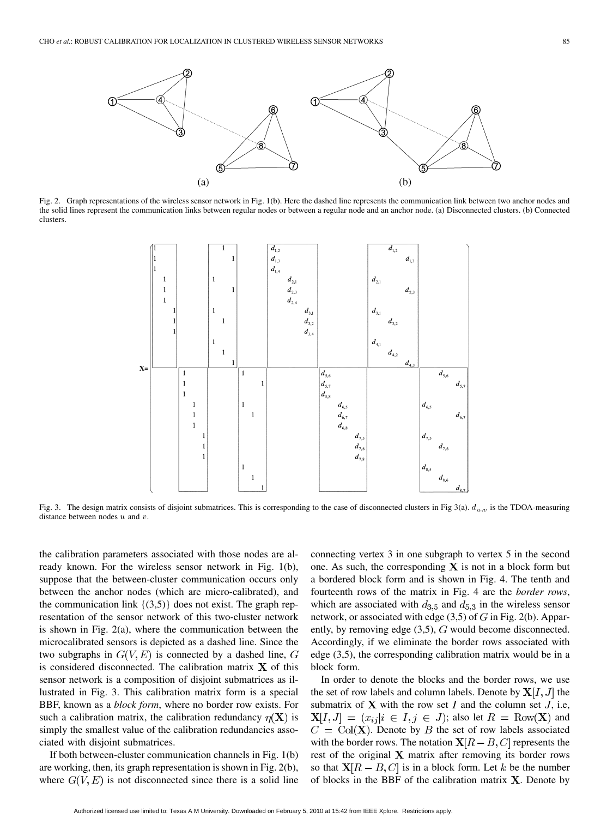

Fig. 2. Graph representations of the wireless sensor network in Fig. 1(b). Here the dashed line represents the communication link between two anchor nodes and the solid lines represent the communication links between regular nodes or between a regular node and an anchor node. (a) Disconnected clusters. (b) Connected clusters.



Fig. 3. The design matrix consists of disjoint submatrices. This is corresponding to the case of disconnected clusters in Fig 3(a).  $d_{u,v}$  is the TDOA-measuring distance between nodes  $u$  and  $v$ .

the calibration parameters associated with those nodes are already known. For the wireless sensor network in Fig. 1(b), suppose that the between-cluster communication occurs only between the anchor nodes (which are micro-calibrated), and the communication link  $\{(3,5)\}\)$  does not exist. The graph representation of the sensor network of this two-cluster network is shown in Fig. 2(a), where the communication between the microcalibrated sensors is depicted as a dashed line. Since the two subgraphs in  $G(V, E)$  is connected by a dashed line, G is considered disconnected. The calibration matrix  $X$  of this sensor network is a composition of disjoint submatrices as illustrated in Fig. 3. This calibration matrix form is a special BBF, known as a *block form*, where no border row exists. For such a calibration matrix, the calibration redundancy  $\eta(\mathbf{X})$  is simply the smallest value of the calibration redundancies associated with disjoint submatrices.

If both between-cluster communication channels in Fig. 1(b) are working, then, its graph representation is shown in Fig. 2(b), where  $G(V, E)$  is not disconnected since there is a solid line connecting vertex 3 in one subgraph to vertex 5 in the second one. As such, the corresponding  $X$  is not in a block form but a bordered block form and is shown in Fig. 4. The tenth and fourteenth rows of the matrix in Fig. 4 are the *border rows*, which are associated with  $d_{3,5}$  and  $d_{5,3}$  in the wireless sensor network, or associated with edge  $(3,5)$  of G in Fig. 2(b). Apparently, by removing edge  $(3,5)$ ,  $G$  would become disconnected. Accordingly, if we eliminate the border rows associated with edge (3,5), the corresponding calibration matrix would be in a block form.

In order to denote the blocks and the border rows, we use the set of row labels and column labels. Denote by  $X[I, J]$  the submatrix of  $X$  with the row set  $I$  and the column set  $J$ , i.e,  $X[I, J] = (x_{ij} | i \in I, j \in J)$ ; also let  $R = \text{Row}(X)$  and  $C = \text{Col}(\mathbf{X})$ . Denote by B the set of row labels associated with the border rows. The notation  $X[R - B, C]$  represents the rest of the original  $X$  matrix after removing its border rows so that  $X[R - B, C]$  is in a block form. Let k be the number of blocks in the BBF of the calibration matrix  $X$ . Denote by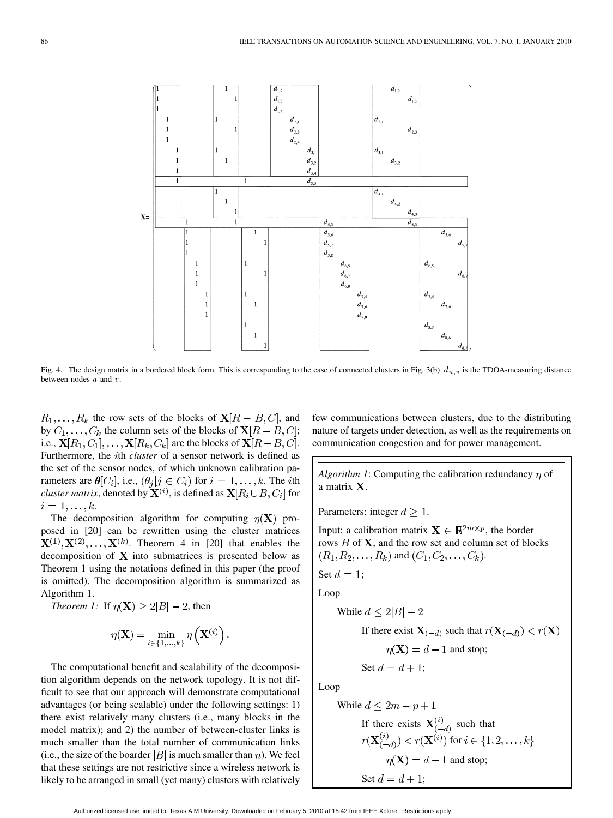

Fig. 4. The design matrix in a bordered block form. This is corresponding to the case of connected clusters in Fig. 3(b).  $d_{u,v}$  is the TDOA-measuring distance between nodes  $\overline{u}$  and  $\overline{v}$ .

 $R_1, \ldots, R_k$  the row sets of the blocks of  $X[R - B, C]$ , and by  $C_1, \ldots, C_k$  the column sets of the blocks of  $\mathbf{X}[R-B, C];$ i.e.,  $\mathbf{X}[R_1, C_1], \dots, \mathbf{X}[R_k, C_k]$  are the blocks of  $\mathbf{X}[R - B, C]$ . Furthermore, the *i*th *cluster* of a sensor network is defined as the set of the sensor nodes, of which unknown calibration parameters are  $\boldsymbol{\theta}[C_i]$ , i.e.,  $(\theta_j | j \in C_i)$  for  $i = 1, \ldots, k$ . The *i*th *cluster matrix*, denoted by  $X^{(i)}$ , is defined as  $X[R_i \cup B, C_i]$  for  $i=1,\ldots,k.$ 

The decomposition algorithm for computing  $\eta(\mathbf{X})$  proposed in [20] can be rewritten using the cluster matrices  $X^{(1)}, X^{(2)}, \ldots, X^{(k)}$ . Theorem 4 in [20] that enables the decomposition of  $X$  into submatrices is presented below as Theorem 1 using the notations defined in this paper (the proof is omitted). The decomposition algorithm is summarized as Algorithm 1.

*Theorem 1:* If  $\eta(\mathbf{X}) \geq 2|B| - 2$ , then

$$
\eta(\mathbf{X}) = \min_{i \in \{1,\ldots,k\}} \eta\left(\mathbf{X}^{(i)}\right)
$$

The computational benefit and scalability of the decomposition algorithm depends on the network topology. It is not difficult to see that our approach will demonstrate computational advantages (or being scalable) under the following settings: 1) there exist relatively many clusters (i.e., many blocks in the model matrix); and 2) the number of between-cluster links is much smaller than the total number of communication links (i.e., the size of the boarder |B| is much smaller than  $n$ ). We feel that these settings are not restrictive since a wireless network is likely to be arranged in small (yet many) clusters with relatively few communications between clusters, due to the distributing nature of targets under detection, as well as the requirements on communication congestion and for power management.

*Algorithm 1*: Computing the calibration redundancy  $\eta$  of a matrix X.

Parameters: integer  $d \geq 1$ .

Input: a calibration matrix  $X \in \mathbb{R}^{2m \times p}$ , the border rows  $B$  of  $X$ , and the row set and column set of blocks  $(R_1, R_2, \ldots, R_k)$  and  $(C_1, C_2, \ldots, C_k)$ .

$$
Set d = 1;
$$

Loop

While 
$$
d \leq 2|B| - 2
$$
  
If there exist  $\mathbf{X}_{(-d)}$  such that  $r(\mathbf{X}_{(-d)}) < r(\mathbf{X})$   
 $\eta(\mathbf{X}) = d - 1$  and stop;  
Set  $d = d + 1$ ;

Loop

While 
$$
d \leq 2m - p + 1
$$
 If there exists  $\mathbf{X}_{(-d)}^{(i)}$  such that  $r(\mathbf{X}_{(-d)}^{(i)}) < r(\mathbf{X}^{(i)})$  for  $i \in \{1, 2, \ldots, k\}$   $\eta(\mathbf{X}) = d - 1$  and stop; Set  $d = d + 1$ ;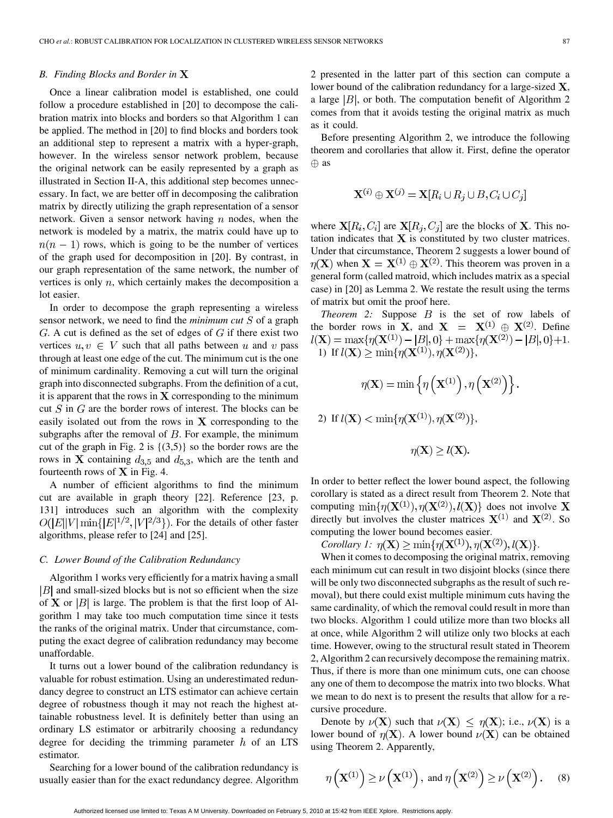#### *B. Finding Blocks and Border in*

Once a linear calibration model is established, one could follow a procedure established in [20] to decompose the calibration matrix into blocks and borders so that Algorithm 1 can be applied. The method in [20] to find blocks and borders took an additional step to represent a matrix with a hyper-graph, however. In the wireless sensor network problem, because the original network can be easily represented by a graph as illustrated in Section II-A, this additional step becomes unnecessary. In fact, we are better off in decomposing the calibration matrix by directly utilizing the graph representation of a sensor network. Given a sensor network having  $n$  nodes, when the network is modeled by a matrix, the matrix could have up to  $n(n - 1)$  rows, which is going to be the number of vertices of the graph used for decomposition in [20]. By contrast, in our graph representation of the same network, the number of vertices is only  $n$ , which certainly makes the decomposition a lot easier.

In order to decompose the graph representing a wireless sensor network, we need to find the *minimum cut*  $S$  of a graph  $G$ . A cut is defined as the set of edges of  $G$  if there exist two vertices  $u, v \in V$  such that all paths between u and v pass through at least one edge of the cut. The minimum cut is the one of minimum cardinality. Removing a cut will turn the original graph into disconnected subgraphs. From the definition of a cut, it is apparent that the rows in  $X$  corresponding to the minimum cut  $S$  in  $G$  are the border rows of interest. The blocks can be easily isolated out from the rows in  $X$  corresponding to the subgraphs after the removal of  $B$ . For example, the minimum cut of the graph in Fig. 2 is  $\{(3,5)\}$  so the border rows are the rows in X containing  $d_{3,5}$  and  $d_{5,3}$ , which are the tenth and fourteenth rows of  $X$  in Fig. 4.

A number of efficient algorithms to find the minimum cut are available in graph theory [22]. Reference [23, p. 131] introduces such an algorithm with the complexity  $O(|E||V| \min\{|E|^{1/2}, |V|^{2/3}\})$ . For the details of other faster algorithms, please refer to [24] and [25].

#### *C. Lower Bound of the Calibration Redundancy*

Algorithm 1 works very efficiently for a matrix having a small  $|B|$  and small-sized blocks but is not so efficient when the size of **X** or |B| is large. The problem is that the first loop of Algorithm 1 may take too much computation time since it tests the ranks of the original matrix. Under that circumstance, computing the exact degree of calibration redundancy may become unaffordable.

It turns out a lower bound of the calibration redundancy is valuable for robust estimation. Using an underestimated redundancy degree to construct an LTS estimator can achieve certain degree of robustness though it may not reach the highest attainable robustness level. It is definitely better than using an ordinary LS estimator or arbitrarily choosing a redundancy degree for deciding the trimming parameter  $h$  of an LTS estimator.

Searching for a lower bound of the calibration redundancy is usually easier than for the exact redundancy degree. Algorithm 2 presented in the latter part of this section can compute a lower bound of the calibration redundancy for a large-sized  $X$ , a large  $|B|$ , or both. The computation benefit of Algorithm 2 comes from that it avoids testing the original matrix as much as it could.

Before presenting Algorithm 2, we introduce the following theorem and corollaries that allow it. First, define the operator as

$$
\mathbf{X}^{(i)} \oplus \mathbf{X}^{(j)} = \mathbf{X}[R_i \cup R_j \cup B, C_i \cup C_j]
$$

where  $X[R_i, C_i]$  are  $X[R_j, C_j]$  are the blocks of **X**. This notation indicates that  $X$  is constituted by two cluster matrices. Under that circumstance, Theorem 2 suggests a lower bound of  $\eta(\mathbf{X})$  when  $\mathbf{X} = \mathbf{X}^{(1)} \oplus \mathbf{X}^{(2)}$ . This theorem was proven in a general form (called matroid, which includes matrix as a special case) in [20] as Lemma 2. We restate the result using the terms of matrix but omit the proof here.

*Theorem 2:* Suppose  $B$  is the set of row labels of the border rows in **X**, and **X** =  $\mathbf{X}^{(1)} \oplus \mathbf{X}^{(2)}$ . Define  $l(\mathbf{X}) = \max\{\eta(\mathbf{X}^{(1)}) - |B|, 0\} + \max\{\eta(\mathbf{X}^{(2)}) - |B|, 0\} + 1.$ 1) If  $l(\mathbf{X}) \ge \min\{\eta(\mathbf{X}^{(1)}), \eta(\mathbf{X}^{(2)})\},\$ 

$$
\eta(\mathbf{X}) = \min \left\{ \eta\left(\mathbf{X}^{(1)}\right), \eta\left(\mathbf{X}^{(2)}\right) \right\}.
$$

2) If 
$$
l(\mathbf{X}) < \min\{\eta(\mathbf{X}^{(1)}), \eta(\mathbf{X}^{(2)})\},\
$$

$$
\eta(\mathbf{X}) \ge l(\mathbf{X}).
$$

In order to better reflect the lower bound aspect, the following corollary is stated as a direct result from Theorem 2. Note that computing  $\min\{\eta(\mathbf{X}^{(1)}), \eta(\mathbf{X}^{(2)}), l(\mathbf{X})\}$  does not involve X directly but involves the cluster matrices  $X^{(1)}$  and  $X^{(2)}$ . So computing the lower bound becomes easier.

*Corollary 1:*  $\eta(\mathbf{X}) \ge \min{\{\eta(\mathbf{X}^{(1)}), \eta(\mathbf{X}^{(2)}), l(\mathbf{X})\}}$ .

When it comes to decomposing the original matrix, removing each minimum cut can result in two disjoint blocks (since there will be only two disconnected subgraphs as the result of such removal), but there could exist multiple minimum cuts having the same cardinality, of which the removal could result in more than two blocks. Algorithm 1 could utilize more than two blocks all at once, while Algorithm 2 will utilize only two blocks at each time. However, owing to the structural result stated in Theorem 2, Algorithm 2 can recursively decompose the remaining matrix. Thus, if there is more than one minimum cuts, one can choose any one of them to decompose the matrix into two blocks. What we mean to do next is to present the results that allow for a recursive procedure.

Denote by  $\nu(\mathbf{X})$  such that  $\nu(\mathbf{X}) \leq \eta(\mathbf{X})$ ; i.e.,  $\nu(\mathbf{X})$  is a lower bound of  $\eta(\mathbf{X})$ . A lower bound  $\nu(\mathbf{X})$  can be obtained using Theorem 2. Apparently,

$$
\eta\left(\mathbf{X}^{(1)}\right) \geq \nu\left(\mathbf{X}^{(1)}\right), \text{ and } \eta\left(\mathbf{X}^{(2)}\right) \geq \nu\left(\mathbf{X}^{(2)}\right). \quad (8)
$$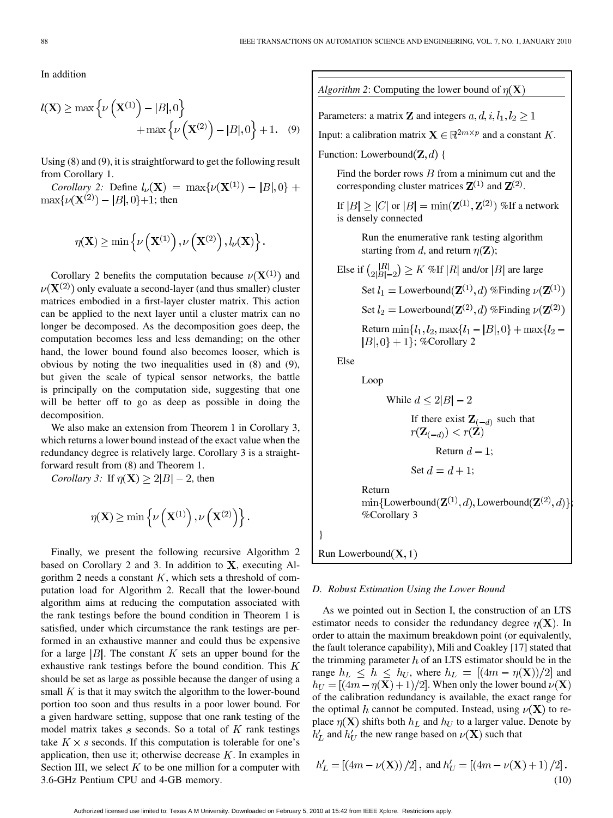In addition

$$
l(\mathbf{X}) \ge \max \left\{ \nu\left(\mathbf{X}^{(1)}\right) - |B|, 0 \right\} + \max \left\{ \nu\left(\mathbf{X}^{(2)}\right) - |B|, 0 \right\} + 1. \quad (9)
$$

Using (8) and (9), it is straightforward to get the following result from Corollary 1.

*Corollary 2:* Define  $l_{\nu}(\mathbf{X}) = \max{\{\nu(\mathbf{X}^{(1)}) - |B|, 0\}} + \cdots$  $\max{\{\nu(\mathbf{X}^{(2)}) - |B|, 0\} + 1}$ ; then

$$
\eta(\mathbf{X}) \ge \min \left\{ \nu\left(\mathbf{X}^{(1)}\right), \nu\left(\mathbf{X}^{(2)}\right), l_{\nu}(\mathbf{X}) \right\}
$$

Corollary 2 benefits the computation because  $\nu(\mathbf{X}^{(1)})$  and  $\nu(\mathbf{X}^{(2)})$  only evaluate a second-layer (and thus smaller) cluster matrices embodied in a first-layer cluster matrix. This action can be applied to the next layer until a cluster matrix can no longer be decomposed. As the decomposition goes deep, the computation becomes less and less demanding; on the other hand, the lower bound found also becomes looser, which is obvious by noting the two inequalities used in (8) and (9), but given the scale of typical sensor networks, the battle is principally on the computation side, suggesting that one will be better off to go as deep as possible in doing the decomposition.

We also make an extension from Theorem 1 in Corollary 3, which returns a lower bound instead of the exact value when the redundancy degree is relatively large. Corollary 3 is a straightforward result from (8) and Theorem 1.

*Corollary 3:* If  $\eta(X) \geq 2|B| - 2$ , then

$$
\eta(\mathbf{X}) \ge \min \left\{ \nu\left(\mathbf{X}^{(1)}\right), \nu\left(\mathbf{X}^{(2)}\right) \right\}.
$$

Finally, we present the following recursive Algorithm 2 based on Corollary 2 and 3. In addition to  $X$ , executing Algorithm 2 needs a constant  $K$ , which sets a threshold of computation load for Algorithm 2. Recall that the lower-bound algorithm aims at reducing the computation associated with the rank testings before the bound condition in Theorem 1 is satisfied, under which circumstance the rank testings are performed in an exhaustive manner and could thus be expensive for a large  $|B|$ . The constant K sets an upper bound for the exhaustive rank testings before the bound condition. This  $K$ should be set as large as possible because the danger of using a small  $K$  is that it may switch the algorithm to the lower-bound portion too soon and thus results in a poor lower bound. For a given hardware setting, suppose that one rank testing of the model matrix takes  $s$  seconds. So a total of  $K$  rank testings take  $K \times s$  seconds. If this computation is tolerable for one's application, then use it; otherwise decrease  $K$ . In examples in Section III, we select  $K$  to be one million for a computer with 3.6-GHz Pentium CPU and 4-GB memory.

*Algorithm 2*: Computing the lower bound of  $\eta(\mathbf{X})$ 

Parameters: a matrix **Z** and integers  $a, d, i, l_1, l_2 \geq 1$ 

Input: a calibration matrix  $\mathbf{X} \in \mathbb{R}^{2m \times p}$  and a constant K.

Function: Lowerbound  $({\bf Z}, d)$  {

Find the border rows  $B$  from a minimum cut and the corresponding cluster matrices  $Z^{(1)}$  and  $Z^{(2)}$ .

If  $|B| > |C|$  or  $|B| = \min(\mathbf{Z}^{(1)}, \mathbf{Z}^{(2)})$  %If a network is densely connected

Run the enumerative rank testing algorithm starting from d, and return  $\eta(\mathbf{Z});$ 

Else if 
$$
\binom{|R|}{2|B|-2} \ge K \%
$$
 iff  $|R|$  and/or  $|B|$  are large  
\nSet  $l_1 = \text{Lowerbound}(\mathbf{Z}^{(1)}, d)$  %Finding  $\nu(\mathbf{Z}^{(1)})$   
\nSet  $l_2 = \text{Lowerbound}(\mathbf{Z}^{(2)}, d)$  %Finding  $\nu(\mathbf{Z}^{(2)})$   
\nReturn  $\min\{l_1, l_2, \max\{l_1 - |B|, 0\} + \max\{l_2 - |B|, 0\} + 1\};$  % Corollary 2

Else

Loop

While 
$$
d \leq 2|B| - 2
$$
  
\nIf there exist  $\mathbf{Z}_{(-d)}$  such that  
\n $r(\mathbf{Z}_{(-d)}) < r(\mathbf{Z})$   
\nReturn  $d - 1$ ;  
\nSet  $d = d + 1$ ;  
\nReturn  
\nmin{Lowerbound( $\mathbf{Z}^{(1)}, d$ ), Lowerbound( $\mathbf{Z}^{(2)}, d$ )}

}

Run Lowerbound $(X, 1)$ 

%Corollary 3

### *D. Robust Estimation Using the Lower Bound*

As we pointed out in Section I, the construction of an LTS estimator needs to consider the redundancy degree  $\eta(\mathbf{X})$ . In order to attain the maximum breakdown point (or equivalently, the fault tolerance capability), Mili and Coakley [17] stated that the trimming parameter  $h$  of an LTS estimator should be in the range  $h_L \leq h \leq h_U$ , where  $h_L = [(4m - \eta(\mathbf{X}))/2]$  and  $h_U = [(4m - \eta(\mathbf{X}) + 1)/2]$ . When only the lower bound  $\nu(\mathbf{X})$ of the calibration redundancy is available, the exact range for the optimal h cannot be computed. Instead, using  $\nu(\mathbf{X})$  to replace  $\eta(\mathbf{X})$  shifts both  $h_L$  and  $h_U$  to a larger value. Denote by  $h'_L$  and  $h'_U$  the new range based on  $\nu(\mathbf{X})$  such that

$$
h'_L = [(4m - \nu(\mathbf{X})) / 2], \text{ and } h'_U = [(4m - \nu(\mathbf{X}) + 1) / 2].
$$
\n(10)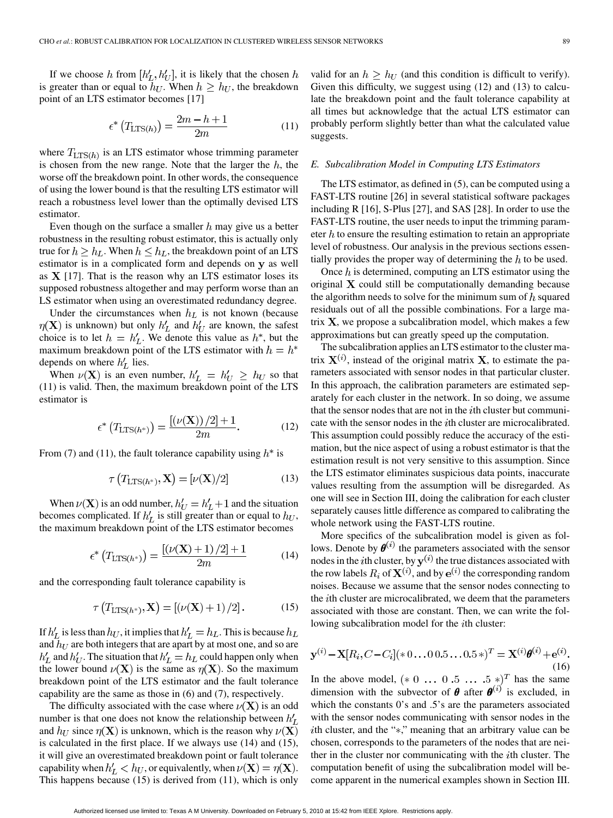If we choose h from  $[h'_L, h'_U]$ , it is likely that the chosen h is greater than or equal to  $h_U$ . When  $h \geq h_U$ , the breakdown point of an LTS estimator becomes [17]

$$
\epsilon^* \left( T_{\text{LTS}(h)} \right) = \frac{2m - h + 1}{2m} \tag{11}
$$

where  $T_{\text{LTS}(h)}$  is an LTS estimator whose trimming parameter is chosen from the new range. Note that the larger the  $h$ , the worse off the breakdown point. In other words, the consequence of using the lower bound is that the resulting LTS estimator will reach a robustness level lower than the optimally devised LTS estimator.

Even though on the surface a smaller  $h$  may give us a better robustness in the resulting robust estimator, this is actually only true for  $h \ge h_L$ . When  $h \le h_L$ , the breakdown point of an LTS estimator is in a complicated form and depends on y as well as  $X$  [17]. That is the reason why an LTS estimator loses its supposed robustness altogether and may perform worse than an LS estimator when using an overestimated redundancy degree.

Under the circumstances when  $h<sub>L</sub>$  is not known (because  $\eta(X)$  is unknown) but only  $h'_L$  and  $h'_U$  are known, the safest choice is to let  $h = h'_L$ . We denote this value as  $h^*$ , but the maximum breakdown point of the LTS estimator with  $h = h^*$ depends on where  $h'_L$  lies.

When  $\nu(\mathbf{X})$  is an even number,  $h'_L = h'_U \geq h_U$  so that (11) is valid. Then, the maximum breakdown point of the LTS estimator is

$$
\epsilon^* \left( T_{\text{LTS}(h^*)} \right) = \frac{\left[ (\nu(\mathbf{X})) / 2 \right] + 1}{2m}.
$$
 (12)

From (7) and (11), the fault tolerance capability using  $h^*$  is

$$
\tau(T_{\text{LTS}(h^*)}, \mathbf{X}) = [\nu(\mathbf{X})/2] \tag{13}
$$

When  $\nu(\mathbf{X})$  is an odd number,  $h'_U = h'_L + 1$  and the situation becomes complicated. If  $h'_L$  is still greater than or equal to  $h_U$ , the maximum breakdown point of the LTS estimator becomes

$$
\epsilon^* \left( T_{\text{LTS}(h^*)} \right) = \frac{\left[ (\nu(\mathbf{X}) + 1) / 2 \right] + 1}{2m} \tag{14}
$$

and the corresponding fault tolerance capability is

$$
\tau\left(T_{\text{LTS}(h^*)}, \mathbf{X}\right) = \left[\left(\nu(\mathbf{X}) + 1\right)/2\right].\tag{15}
$$

If  $h'_L$  is less than  $h_U$ , it implies that  $h'_L = h_L$ . This is because  $h_L$ and  $h_U$  are both integers that are apart by at most one, and so are  $h'_L$  and  $h'_U$ . The situation that  $h'_L = h_L$  could happen only when the lower bound  $\nu(\mathbf{X})$  is the same as  $\eta(\mathbf{X})$ . So the maximum breakdown point of the LTS estimator and the fault tolerance capability are the same as those in (6) and (7), respectively.

The difficulty associated with the case where  $\nu(\mathbf{X})$  is an odd number is that one does not know the relationship between  $h'_L$ and  $h_U$  since  $\eta(\mathbf{X})$  is unknown, which is the reason why  $\nu(\mathbf{X})$ is calculated in the first place. If we always use (14) and (15), it will give an overestimated breakdown point or fault tolerance capability when  $h'_L < h_U$ , or equivalently, when  $\nu(\mathbf{X}) = \eta(\mathbf{X})$ . This happens because (15) is derived from (11), which is only

valid for an  $h \geq h_U$  (and this condition is difficult to verify). Given this difficulty, we suggest using (12) and (13) to calculate the breakdown point and the fault tolerance capability at all times but acknowledge that the actual LTS estimator can probably perform slightly better than what the calculated value suggests.

#### *E. Subcalibration Model in Computing LTS Estimators*

The LTS estimator, as defined in (5), can be computed using a FAST-LTS routine [26] in several statistical software packages including R [16], S-Plus [27], and SAS [28]. In order to use the FAST-LTS routine, the user needs to input the trimming parameter  $h$  to ensure the resulting estimation to retain an appropriate level of robustness. Our analysis in the previous sections essentially provides the proper way of determining the  $h$  to be used.

Once  $h$  is determined, computing an LTS estimator using the original  $X$  could still be computationally demanding because the algorithm needs to solve for the minimum sum of  $h$  squared residuals out of all the possible combinations. For a large matrix  $X$ , we propose a subcalibration model, which makes a few approximations but can greatly speed up the computation.

The subcalibration applies an LTS estimator to the cluster matrix  $X^{(i)}$ , instead of the original matrix X, to estimate the parameters associated with sensor nodes in that particular cluster. In this approach, the calibration parameters are estimated separately for each cluster in the network. In so doing, we assume that the sensor nodes that are not in the  $i$ th cluster but communicate with the sensor nodes in the *i*th cluster are microcalibrated. This assumption could possibly reduce the accuracy of the estimation, but the nice aspect of using a robust estimator is that the estimation result is not very sensitive to this assumption. Since the LTS estimator eliminates suspicious data points, inaccurate values resulting from the assumption will be disregarded. As one will see in Section III, doing the calibration for each cluster separately causes little difference as compared to calibrating the whole network using the FAST-LTS routine.

More specifics of the subcalibration model is given as follows. Denote by  $\boldsymbol{\theta}^{(i)}$  the parameters associated with the sensor nodes in the *i*th cluster, by  $y^{(i)}$  the true distances associated with the row labels  $R_i$  of  $X^{(i)}$ , and by  $e^{(i)}$  the corresponding random noises. Because we assume that the sensor nodes connecting to the *i*th cluster are microcalibrated, we deem that the parameters associated with those are constant. Then, we can write the following subcalibration model for the  $i$ th cluster:

$$
\mathbf{y}^{(i)} - \mathbf{X}[R_i, C - C_i](*0...00.5...0.5*)^T = \mathbf{X}^{(i)}\boldsymbol{\theta}^{(i)} + \mathbf{e}^{(i)}.
$$
\n(16)

In the above model,  $(* 0 ... 0 .5 ... .5 *)^T$  has the same dimension with the subvector of  $\theta$  after  $\theta^{(i)}$  is excluded, in which the constants 0's and .5's are the parameters associated with the sensor nodes communicating with sensor nodes in the *i*th cluster, and the " $\ast$ ," meaning that an arbitrary value can be chosen, corresponds to the parameters of the nodes that are neither in the cluster nor communicating with the  $i$ th cluster. The computation benefit of using the subcalibration model will become apparent in the numerical examples shown in Section III.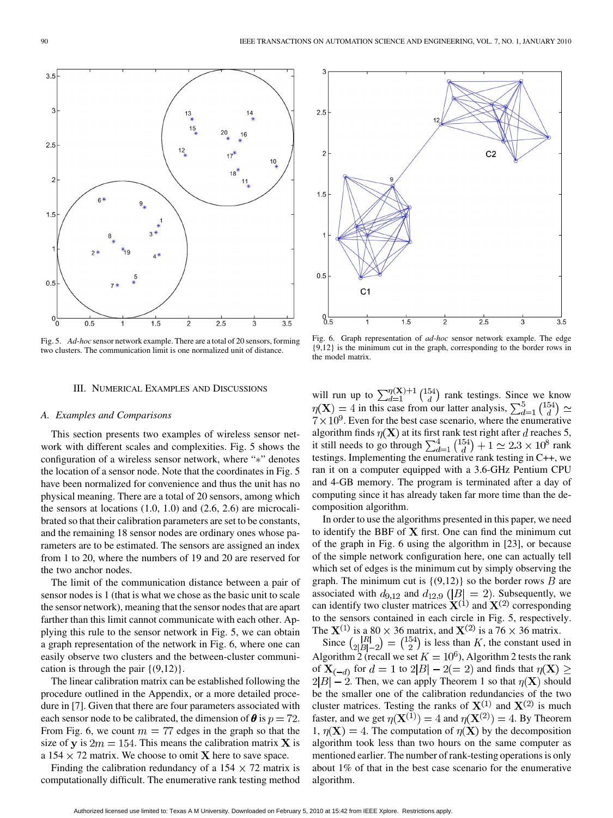

Fig. 5. *Ad-hoc* sensor network example. There are a total of 20 sensors, forming two clusters. The communication limit is one normalized unit of distance.

# 3  $2.5$  $\overline{2}$ C2  $1.5$ 1  $0.5$  $C<sub>1</sub>$  $0.5$  $1.5$  $\overline{2}$  $2.5$  $\overline{3}$  $3.5$

Fig. 6. Graph representation of *ad-hoc* sensor network example. The edge {9,12} is the minimum cut in the graph, corresponding to the border rows in the model matrix.

#### III. NUMERICAL EXAMPLES AND DISCUSSIONS

#### *A. Examples and Comparisons*

This section presents two examples of wireless sensor network with different scales and complexities. Fig. 5 shows the configuration of a wireless sensor network, where "\*" denotes the location of a sensor node. Note that the coordinates in Fig. 5 have been normalized for convenience and thus the unit has no physical meaning. There are a total of 20 sensors, among which the sensors at locations (1.0, 1.0) and (2.6, 2.6) are microcalibrated so that their calibration parameters are set to be constants, and the remaining 18 sensor nodes are ordinary ones whose parameters are to be estimated. The sensors are assigned an index from 1 to 20, where the numbers of 19 and 20 are reserved for the two anchor nodes.

The limit of the communication distance between a pair of sensor nodes is 1 (that is what we chose as the basic unit to scale the sensor network), meaning that the sensor nodes that are apart farther than this limit cannot communicate with each other. Applying this rule to the sensor network in Fig. 5, we can obtain a graph representation of the network in Fig. 6, where one can easily observe two clusters and the between-cluster communication is through the pair  $\{(9,12)\}.$ 

The linear calibration matrix can be established following the procedure outlined in the Appendix, or a more detailed procedure in [7]. Given that there are four parameters associated with each sensor node to be calibrated, the dimension of  $\theta$  is  $p = 72$ . From Fig. 6, we count  $m = 77$  edges in the graph so that the size of y is  $2m = 154$ . This means the calibration matrix X is a 154  $\times$  72 matrix. We choose to omit **X** here to save space.

Finding the calibration redundancy of a  $154 \times 72$  matrix is computationally difficult. The enumerative rank testing method

will run up to  $\sum_{d=1}^{\eta(\mathbf{A})+1} \binom{134}{d}$  rank testings. Since we know in this case from our latter analysis, . Even for the best case scenario, where the enumerative algorithm finds  $\eta(\mathbf{X})$  at its first rank test right after  $d$  reaches 5, it still needs to go through  $\sum_{d=1}^{4} {\binom{154}{d}} + 1 \simeq 2.3 \times 10^8$  rank testings. Implementing the enumerative rank testing in C++, we ran it on a computer equipped with a 3.6-GHz Pentium CPU and 4-GB memory. The program is terminated after a day of computing since it has already taken far more time than the decomposition algorithm.

In order to use the algorithms presented in this paper, we need to identify the BBF of  $X$  first. One can find the minimum cut of the graph in Fig. 6 using the algorithm in [23], or because of the simple network configuration here, one can actually tell which set of edges is the minimum cut by simply observing the graph. The minimum cut is  $\{(9,12)\}\$ so the border rows  $B$  are associated with  $d_{9,12}$  and  $d_{12,9}$  ( $|B| = 2$ ). Subsequently, we can identify two cluster matrices  $X^{(1)}$  and  $X^{(2)}$  corresponding to the sensors contained in each circle in Fig. 5, respectively. The  $X^{(1)}$  is a 80  $\times$  36 matrix, and  $X^{(2)}$  is a 76  $\times$  36 matrix.

Since  $\binom{|R|}{2|B|-2} = \binom{154}{2}$  is less than K, the constant used in Algorithm 2 (recall we set  $K = 10^6$ ), Algorithm 2 tests the rank of  $X_{(-d)}$  for  $d = 1$  to  $2|B| - 2(= 2)$  and finds that  $\eta(X) \ge$  $2|B|-2$ . Then, we can apply Theorem 1 so that  $\eta(\mathbf{X})$  should be the smaller one of the calibration redundancies of the two cluster matrices. Testing the ranks of  $X^{(1)}$  and  $X^{(2)}$  is much faster, and we get  $\eta(\mathbf{X}^{(1)}) = 4$  and  $\eta(\mathbf{X}^{(2)}) = 4$ . By Theorem 1,  $\eta(\mathbf{X}) = 4$ . The computation of  $\eta(\mathbf{X})$  by the decomposition algorithm took less than two hours on the same computer as mentioned earlier. The number of rank-testing operations is only about 1% of that in the best case scenario for the enumerative algorithm.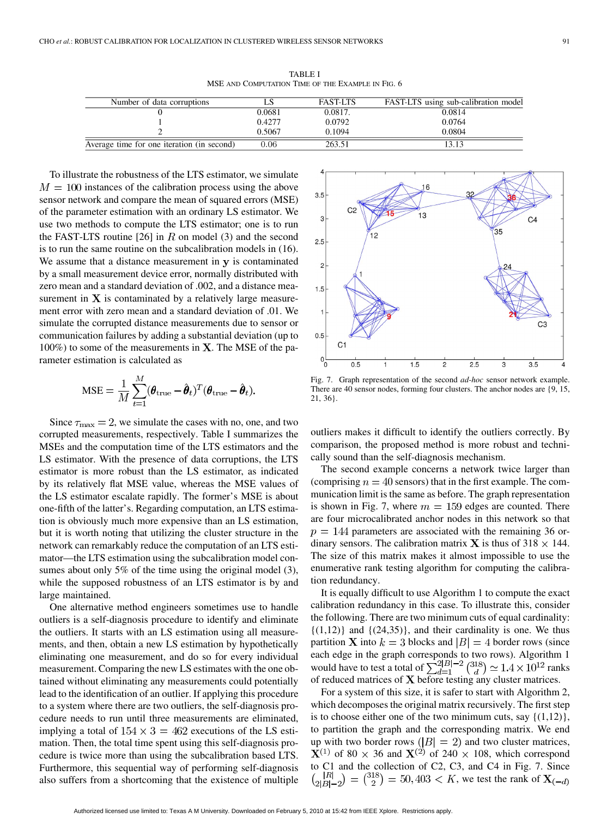| Number of data corruptions                 |        | <b>FAST-LTS</b> | FAST-LTS using sub-calibration model |
|--------------------------------------------|--------|-----------------|--------------------------------------|
|                                            | 0.0681 | 0.0817.         | 0.0814                               |
|                                            | 0.4277 | 0.0792          | 0.0764                               |
|                                            | 0.5067 | 0.1094          | 0.0804                               |
| Average time for one iteration (in second) | 0.06   | 263.51          |                                      |

TABLE I MSE AND COMPUTATION TIME OF THE EXAMPLE IN FIG. 6

To illustrate the robustness of the LTS estimator, we simulate  $M = 100$  instances of the calibration process using the above sensor network and compare the mean of squared errors (MSE) of the parameter estimation with an ordinary LS estimator. We use two methods to compute the LTS estimator; one is to run the FAST-LTS routine  $[26]$  in R on model (3) and the second is to run the same routine on the subcalibration models in (16). We assume that a distance measurement in  $y$  is contaminated by a small measurement device error, normally distributed with zero mean and a standard deviation of .002, and a distance measurement in  $X$  is contaminated by a relatively large measurement error with zero mean and a standard deviation of .01. We simulate the corrupted distance measurements due to sensor or communication failures by adding a substantial deviation (up to  $100\%$ ) to some of the measurements in **X**. The MSE of the parameter estimation is calculated as

$$
\text{MSE} = \frac{1}{M} \sum_{t=1}^{M} (\boldsymbol{\theta}_{\text{true}} - \hat{\boldsymbol{\theta}}_t)^T (\boldsymbol{\theta}_{\text{true}} - \hat{\boldsymbol{\theta}}_t).
$$

Since  $\tau_{\text{max}} = 2$ , we simulate the cases with no, one, and two corrupted measurements, respectively. Table I summarizes the MSEs and the computation time of the LTS estimators and the LS estimator. With the presence of data corruptions, the LTS estimator is more robust than the LS estimator, as indicated by its relatively flat MSE value, whereas the MSE values of the LS estimator escalate rapidly. The former's MSE is about one-fifth of the latter's. Regarding computation, an LTS estimation is obviously much more expensive than an LS estimation, but it is worth noting that utilizing the cluster structure in the network can remarkably reduce the computation of an LTS estimator—the LTS estimation using the subcalibration model consumes about only 5% of the time using the original model (3), while the supposed robustness of an LTS estimator is by and large maintained.

One alternative method engineers sometimes use to handle outliers is a self-diagnosis procedure to identify and eliminate the outliers. It starts with an LS estimation using all measurements, and then, obtain a new LS estimation by hypothetically eliminating one measurement, and do so for every individual measurement. Comparing the new LS estimates with the one obtained without eliminating any measurements could potentially lead to the identification of an outlier. If applying this procedure to a system where there are two outliers, the self-diagnosis procedure needs to run until three measurements are eliminated, implying a total of  $154 \times 3 = 462$  executions of the LS estimation. Then, the total time spent using this self-diagnosis procedure is twice more than using the subcalibration based LTS. Furthermore, this sequential way of performing self-diagnosis also suffers from a shortcoming that the existence of multiple



Fig. 7. Graph representation of the second *ad-hoc* sensor network example. There are 40 sensor nodes, forming four clusters. The anchor nodes are {9, 15, 21, 36}.

outliers makes it difficult to identify the outliers correctly. By comparison, the proposed method is more robust and technically sound than the self-diagnosis mechanism.

The second example concerns a network twice larger than (comprising  $n = 40$  sensors) that in the first example. The communication limit is the same as before. The graph representation is shown in Fig. 7, where  $m = 159$  edges are counted. There are four microcalibrated anchor nodes in this network so that  $p = 144$  parameters are associated with the remaining 36 ordinary sensors. The calibration matrix **X** is thus of 318  $\times$  144. The size of this matrix makes it almost impossible to use the enumerative rank testing algorithm for computing the calibration redundancy.

It is equally difficult to use Algorithm 1 to compute the exact calibration redundancy in this case. To illustrate this, consider the following. There are two minimum cuts of equal cardinality:  $\{(1,12)\}\$  and  $\{(24,35)\}\$ , and their cardinality is one. We thus partition **X** into  $k = 3$  blocks and  $|B| = 4$  border rows (since each edge in the graph corresponds to two rows). Algorithm 1 would have to test a total of  $\sum_{d=1}^{2|D| - 2} \binom{318}{d} \simeq 1.4 \times 10^{12}$  ranks of reduced matrices of  $X$  before testing any cluster matrices.

For a system of this size, it is safer to start with Algorithm 2, which decomposes the original matrix recursively. The first step is to choose either one of the two minimum cuts, say  $\{(1,12)\}\,$ , to partition the graph and the corresponding matrix. We end up with two border rows  $(|B| = 2)$  and two cluster matrices,  ${\bf X}^{(1)}$  of 80  $\times$  36 and  ${\bf X}^{(2)}$  of 240  $\times$  108, which correspond to C1 and the collection of C2, C3, and C4 in Fig. 7. Since  $\binom{|R|}{2|B|-2} = \binom{318}{2} = 50,403 < K$ , we test the rank of  $\mathbf{X}_{(-d)}$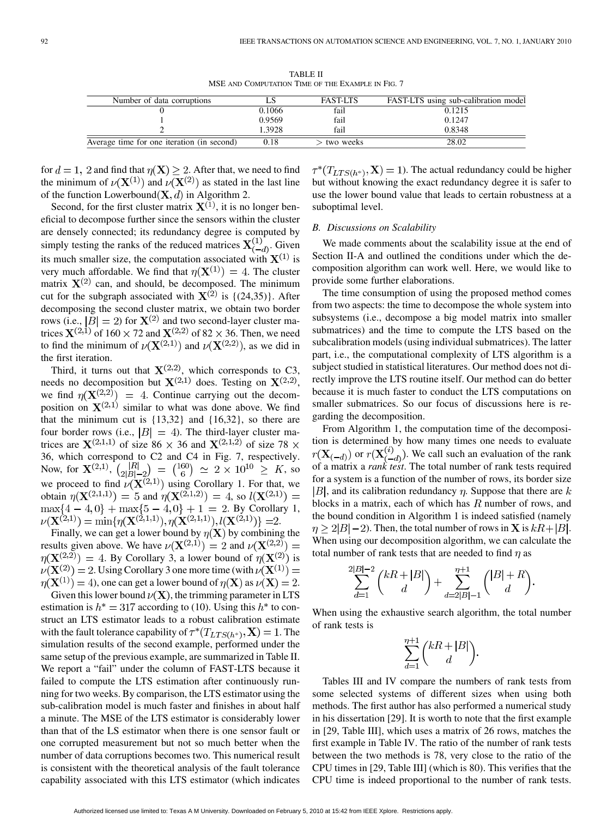TABLE II

| Number of data corruptions                 |        | <b>FAST-LTS</b> | FAST-LTS using sub-calibration model |
|--------------------------------------------|--------|-----------------|--------------------------------------|
|                                            | 0.1066 | fail            | 9.1215                               |
|                                            | 0.9569 | fail            | 0.1247                               |
|                                            | .3928  | fail            | 0.8348                               |
| Average time for one iteration (in second) | 0.18   | > two weeks     | 28.02                                |

for  $d = 1$ , 2 and find that  $\eta(\mathbf{X}) \geq 2$ . After that, we need to find the minimum of  $\nu(\mathbf{X}^{(1)})$  and  $\nu(\mathbf{X}^{(2)})$  as stated in the last line of the function Lowerbound  $(X, d)$  in Algorithm 2.

Second, for the first cluster matrix  $X^{(1)}$ , it is no longer beneficial to decompose further since the sensors within the cluster are densely connected; its redundancy degree is computed by simply testing the ranks of the reduced matrices  $X_{(-d)}^{(1)}$ . Given its much smaller size, the computation associated with  $X^{(1)}$  is very much affordable. We find that  $\eta(\mathbf{X}^{(1)}) = 4$ . The cluster matrix  $X^{(2)}$  can, and should, be decomposed. The minimum cut for the subgraph associated with  $X^{(2)}$  is {(24,35)}. After decomposing the second cluster matrix, we obtain two border rows (i.e.,  $|B| = 2$ ) for  $\mathbf{X}^{(2)}$  and two second-layer cluster matrices  $\mathbf{X}^{(2,1)}$  of 160  $\times$  72 and  $\mathbf{X}^{(2,2)}$  of 82  $\times$  36. Then, we need to find the minimum of  $\nu(\mathbf{X}^{(2,1)})$  and  $\nu(\mathbf{X}^{(2,2)})$ , as we did in the first iteration.

Third, it turns out that  $X^{(2,2)}$ , which corresponds to C3, needs no decomposition but  $X^{(2,1)}$  does. Testing on  $X^{(2,2)}$ , we find  $\eta(\mathbf{X}^{(2,2)}) = 4$ . Continue carrying out the decomposition on  $X^{(2,1)}$  similar to what was done above. We find that the minimum cut is  $\{13,32\}$  and  $\{16,32\}$ , so there are four border rows (i.e.,  $|B| = 4$ ). The third-layer cluster matrices are  $X^{(2,1,1)}$  of size 86  $\times$  36 and  $X^{(2,1,2)}$  of size 78  $\times$ 36, which correspond to C2 and C4 in Fig. 7, respectively. Now, for  ${\bf X}^{(2,1)}$ ,  $\binom{|R|}{2|R|}$  =  $\binom{160}{6}$   $\simeq 2 \times 10^{10} \ge K$ , so we proceed to find  $\nu(\mathbf{X}^{(2,1)})$  using Corollary 1. For that, we obtain  $\eta(\mathbf{X}^{(2,1,1)}) = 5$  and  $\eta(\mathbf{X}^{(2,1,2)}) = 4$ , so . By Corollary 1, .

Finally, we can get a lower bound by  $\eta(\mathbf{X})$  by combining the results given above. We have  $\nu(\mathbf{X}^{(2,1)}) = 2$  and  $\nu(\mathbf{X}^{(2,2)}) =$  $\eta(\mathbf{X}^{(2,2)}) = 4$ . By Corollary 3, a lower bound of  $\eta(\mathbf{X}^{(2)})$  is  $\nu(\mathbf{X}^{(2)}) = 2$ . Using Corollary 3 one more time (with  $\nu(\mathbf{X}^{(1)}) =$  $\eta(\mathbf{X}^{(1)}) = 4$ ), one can get a lower bound of  $\eta(\mathbf{X})$  as  $\nu(\mathbf{X}) = 2$ .

Given this lower bound  $\nu(X)$ , the trimming parameter in LTS estimation is  $h^* = 317$  according to (10). Using this  $h^*$  to construct an LTS estimator leads to a robust calibration estimate with the fault tolerance capability of  $\tau^*(T_{LTS(h^*)}, \mathbf{X}) = 1$ . The simulation results of the second example, performed under the same setup of the previous example, are summarized in Table II. We report a "fail" under the column of FAST-LTS because it failed to compute the LTS estimation after continuously running for two weeks. By comparison, the LTS estimator using the sub-calibration model is much faster and finishes in about half a minute. The MSE of the LTS estimator is considerably lower than that of the LS estimator when there is one sensor fault or one corrupted measurement but not so much better when the number of data corruptions becomes two. This numerical result is consistent with the theoretical analysis of the fault tolerance capability associated with this LTS estimator (which indicates  $\tau^*(T_{LTS(h^*)}, \mathbf{X}) = 1$ ). The actual redundancy could be higher but without knowing the exact redundancy degree it is safer to use the lower bound value that leads to certain robustness at a suboptimal level.

#### *B. Discussions on Scalability*

We made comments about the scalability issue at the end of Section II-A and outlined the conditions under which the decomposition algorithm can work well. Here, we would like to provide some further elaborations.

The time consumption of using the proposed method comes from two aspects: the time to decompose the whole system into subsystems (i.e., decompose a big model matrix into smaller submatrices) and the time to compute the LTS based on the subcalibration models (using individual submatrices). The latter part, i.e., the computational complexity of LTS algorithm is a subject studied in statistical literatures. Our method does not directly improve the LTS routine itself. Our method can do better because it is much faster to conduct the LTS computations on smaller submatrices. So our focus of discussions here is regarding the decomposition.

From Algorithm 1, the computation time of the decomposition is determined by how many times one needs to evaluate  $r(\mathbf{X}_{(-d)})$  or  $r(\mathbf{X}_{(-d)}^{(i)})$ . We call such an evaluation of the rank of a matrix a *rank test*. The total number of rank tests required for a system is a function of the number of rows, its border size  $|B|$ , and its calibration redundancy  $\eta$ . Suppose that there are k blocks in a matrix, each of which has  $R$  number of rows, and the bound condition in Algorithm 1 is indeed satisfied (namely  $\eta \geq 2|B|-2$ ). Then, the total number of rows in **X** is  $kR+|B|$ . When using our decomposition algorithm, we can calculate the total number of rank tests that are needed to find  $\eta$  as

$$
\sum_{d=1}^{2|B|-2} {kR+|B| \choose d} + \sum_{d=2|B|-1}^{n+1} {|B|+R \choose d}.
$$

When using the exhaustive search algorithm, the total number of rank tests is

$$
\sum_{d=1}^{\eta+1} \binom{kR+|B|}{d}.
$$

Tables III and IV compare the numbers of rank tests from some selected systems of different sizes when using both methods. The first author has also performed a numerical study in his dissertation [29]. It is worth to note that the first example in [29, Table III], which uses a matrix of 26 rows, matches the first example in Table IV. The ratio of the number of rank tests between the two methods is 78, very close to the ratio of the CPU times in [29, Table III] (which is 80). This verifies that the CPU time is indeed proportional to the number of rank tests.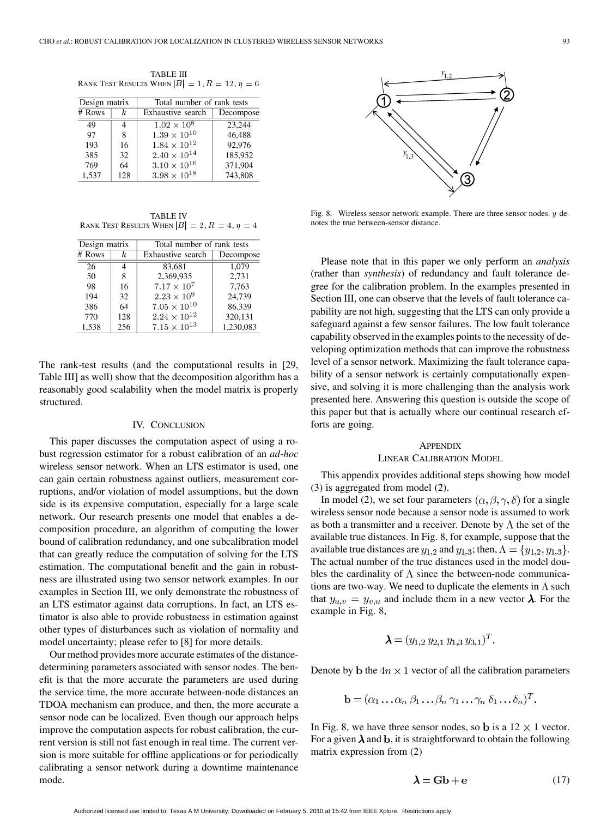TABLE III RANK TEST RESULTS WHEN  $|B|=1$ ,  $R=12$ ,  $\eta=6$ 

| Design matrix |                  | Total number of rank tests |           |  |
|---------------|------------------|----------------------------|-----------|--|
| # Rows        | $\boldsymbol{k}$ | Exhaustive search          | Decompose |  |
| 49            |                  | $1.02 \times 10^{8}$       | 23,244    |  |
| 97            | 8                | $1.39\times10^{10}$        | 46,488    |  |
| 193           | 16               | $1.84 \times 10^{12}$      | 92,976    |  |
| 385           | 32               | $2.40 \times 10^{14}$      | 185,952   |  |
| 769           | 64               | $3.10 \times 10^{16}$      | 371,904   |  |
| 1,537         | 128              | $3.98 \times 10^{18}$      | 743,808   |  |

TABLE IV RANK TEST RESULTS WHEN  $|B| = 2$ ,  $R = 4$ ,  $\eta = 4$ 

| Design matrix |     |                       | Total number of rank tests |  |  |
|---------------|-----|-----------------------|----------------------------|--|--|
| # Rows        | k   | Exhaustive search     | Decompose                  |  |  |
| 26            |     | 83.681                | 1.079                      |  |  |
| 50            | 8   | 2,369,935             | 2,731                      |  |  |
| 98            | 16  | $7.17 \times 10^{7}$  | 7.763                      |  |  |
| 194           | 32  | $2.23 \times 10^{9}$  | 24.739                     |  |  |
| 386           | 64  | $7.05 \times 10^{10}$ | 86,339                     |  |  |
| 770           | 128 | $2.24 \times 10^{12}$ | 320,131                    |  |  |
| 1.538         | 256 | $7.15 \times 10^{13}$ | 1,230,083                  |  |  |

The rank-test results (and the computational results in [29, Table III] as well) show that the decomposition algorithm has a reasonably good scalability when the model matrix is properly structured.

#### IV. CONCLUSION

This paper discusses the computation aspect of using a robust regression estimator for a robust calibration of an *ad-hoc* wireless sensor network. When an LTS estimator is used, one can gain certain robustness against outliers, measurement corruptions, and/or violation of model assumptions, but the down side is its expensive computation, especially for a large scale network. Our research presents one model that enables a decomposition procedure, an algorithm of computing the lower bound of calibration redundancy, and one subcalibration model that can greatly reduce the computation of solving for the LTS estimation. The computational benefit and the gain in robustness are illustrated using two sensor network examples. In our examples in Section III, we only demonstrate the robustness of an LTS estimator against data corruptions. In fact, an LTS estimator is also able to provide robustness in estimation against other types of disturbances such as violation of normality and model uncertainty; please refer to [8] for more details.

Our method provides more accurate estimates of the distancedetermining parameters associated with sensor nodes. The benefit is that the more accurate the parameters are used during the service time, the more accurate between-node distances an TDOA mechanism can produce, and then, the more accurate a sensor node can be localized. Even though our approach helps improve the computation aspects for robust calibration, the current version is still not fast enough in real time. The current version is more suitable for offline applications or for periodically calibrating a sensor network during a downtime maintenance mode.



Fig. 8. Wireless sensor network example. There are three sensor nodes.  $y$  denotes the true between-sensor distance.

Please note that in this paper we only perform an *analysis* (rather than *synthesis*) of redundancy and fault tolerance degree for the calibration problem. In the examples presented in Section III, one can observe that the levels of fault tolerance capability are not high, suggesting that the LTS can only provide a safeguard against a few sensor failures. The low fault tolerance capability observed in the examples points to the necessity of developing optimization methods that can improve the robustness level of a sensor network. Maximizing the fault tolerance capability of a sensor network is certainly computationally expensive, and solving it is more challenging than the analysis work presented here. Answering this question is outside the scope of this paper but that is actually where our continual research efforts are going.

#### APPENDIX LINEAR CALIBRATION MODEL

This appendix provides additional steps showing how model (3) is aggregated from model (2).

In model (2), we set four parameters  $(\alpha, \beta, \gamma, \delta)$  for a single wireless sensor node because a sensor node is assumed to work as both a transmitter and a receiver. Denote by  $\Lambda$  the set of the available true distances. In Fig. 8, for example, suppose that the available true distances are  $y_{1,2}$  and  $y_{1,3}$ ; then,  $\Lambda = \{y_{1,2}, y_{1,3}\}.$ The actual number of the true distances used in the model doubles the cardinality of  $\Lambda$  since the between-node communications are two-way. We need to duplicate the elements in  $\Lambda$  such that  $y_{u,v} = y_{v,u}$  and include them in a new vector  $\lambda$ . For the example in Fig. 8,

$$
\boldsymbol{\lambda} = (y_{1,2}\ y_{2,1}\ y_{1,3}\ y_{3,1})^T.
$$

Denote by b the  $4n \times 1$  vector of all the calibration parameters

$$
\mathbf{b} = (\alpha_1 \dots \alpha_n \beta_1 \dots \beta_n \gamma_1 \dots \gamma_n \delta_1 \dots \delta_n)^T
$$

In Fig. 8, we have three sensor nodes, so **b** is a  $12 \times 1$  vector. For a given  $\lambda$  and b, it is straightforward to obtain the following matrix expression from (2)

$$
\lambda = \mathbf{Gb} + \mathbf{e} \tag{17}
$$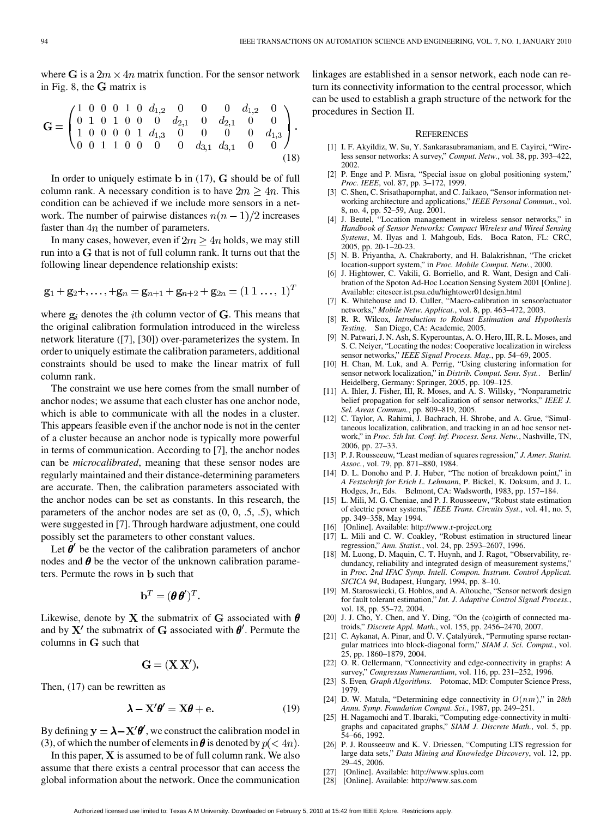where G is a  $2m \times 4n$  matrix function. For the sensor network in Fig. 8, the  $G$  matrix is

$$
\mathbf{G} = \begin{pmatrix} 1 & 0 & 0 & 0 & 1 & 0 & d_{1,2} & 0 & 0 & 0 & d_{1,2} & 0 \\ 0 & 1 & 0 & 1 & 0 & 0 & 0 & d_{2,1} & 0 & d_{2,1} & 0 & 0 \\ 1 & 0 & 0 & 0 & 1 & d_{1,3} & 0 & 0 & 0 & 0 & d_{1,3} \\ 0 & 0 & 1 & 1 & 0 & 0 & 0 & 0 & d_{3,1} & d_{3,1} & 0 & 0 \end{pmatrix}.
$$
 (18)

In order to uniquely estimate  $\bf{b}$  in (17),  $\bf{G}$  should be of full column rank. A necessary condition is to have  $2m \ge 4n$ . This condition can be achieved if we include more sensors in a network. The number of pairwise distances  $n(n-1)/2$  increases faster than  $4n$  the number of parameters.

In many cases, however, even if  $2m \geq 4n$  holds, we may still run into a  $G$  that is not of full column rank. It turns out that the following linear dependence relationship exists:

$$
\mathbf{g}_1 + \mathbf{g}_2 + , \ldots, +\mathbf{g}_n = \mathbf{g}_{n+1} + \mathbf{g}_{n+2} + \mathbf{g}_{2n} = (1 \ 1 \ldots, 1)^T
$$

where  $g_i$  denotes the *i*th column vector of G. This means that the original calibration formulation introduced in the wireless network literature ([7], [30]) over-parameterizes the system. In order to uniquely estimate the calibration parameters, additional constraints should be used to make the linear matrix of full column rank.

The constraint we use here comes from the small number of anchor nodes; we assume that each cluster has one anchor node, which is able to communicate with all the nodes in a cluster. This appears feasible even if the anchor node is not in the center of a cluster because an anchor node is typically more powerful in terms of communication. According to [7], the anchor nodes can be *microcalibrated*, meaning that these sensor nodes are regularly maintained and their distance-determining parameters are accurate. Then, the calibration parameters associated with the anchor nodes can be set as constants. In this research, the parameters of the anchor nodes are set as  $(0, 0, .5, .5)$ , which were suggested in [7]. Through hardware adjustment, one could possibly set the parameters to other constant values.

Let  $\theta'$  be the vector of the calibration parameters of anchor nodes and  $\theta$  be the vector of the unknown calibration parameters. Permute the rows in b such that

$$
\mathbf{b}^T = (\boldsymbol{\theta} \, \boldsymbol{\theta}')^T.
$$

Likewise, denote by X the submatrix of G associated with  $\theta$ and by  $X'$  the submatrix of G associated with  $\theta'$ . Permute the columns in  $G$  such that

$$
G = (\mathbf{X} \mathbf{X}').
$$

Then, (17) can be rewritten as

$$
\lambda - X'\theta' = X\theta + e. \tag{19}
$$

By defining  $y = \lambda - X' \theta'$ , we construct the calibration model in (3), of which the number of elements in  $\theta$  is denoted by  $p(< 4n)$ .

In this paper,  $X$  is assumed to be of full column rank. We also assume that there exists a central processor that can access the global information about the network. Once the communication linkages are established in a sensor network, each node can return its connectivity information to the central processor, which can be used to establish a graph structure of the network for the procedures in Section II.

#### **REFERENCES**

- [1] I. F. Akyildiz, W. Su, Y. Sankarasubramaniam, and E. Cayirci, "Wireless sensor networks: A survey," *Comput. Netw.*, vol. 38, pp. 393–422, 2002.
- [2] P. Enge and P. Misra, "Special issue on global positioning system," *Proc. IEEE*, vol. 87, pp. 3–172, 1999.
- [3] C. Shen, C. Srisathapornphat, and C. Jaikaeo, "Sensor information networking architecture and applications," *IEEE Personal Commun.*, vol. 8, no. 4, pp. 52–59, Aug. 2001.
- [4] J. Beutel, "Location management in wireless sensor networks," in *Handbook of Sensor Networks: Compact Wireless and Wired Sensing Systems*, M. Ilyas and I. Mahgoub, Eds. Boca Raton, FL: CRC, 2005, pp. 20-1–20-23.
- [5] N. B. Priyantha, A. Chakraborty, and H. Balakrishnan, "The cricket location-support system," in *Proc. Mobile Comput. Netw.*, 2000.
- [6] J. Hightower, C. Vakili, G. Borriello, and R. Want, Design and Calibration of the Spoton Ad-Hoc Location Sensing System 2001 [Online]. Available: citeseer.ist.psu.edu/hightower01design.html
- [7] K. Whitehouse and D. Culler, "Macro-calibration in sensor/actuator networks," *Mobile Netw. Applicat.*, vol. 8, pp. 463–472, 2003.
- [8] R. R. Wilcox*, Introduction to Robust Estimation and Hypothesis Testing*. San Diego, CA: Academic, 2005.
- [9] N. Patwari, J. N. Ash, S. Kyperountas, A. O. Hero, III, R. L. Moses, and S. C. Neiyer, "Locating the nodes: Cooperative localization in wireless sensor networks," *IEEE Signal Process. Mag.*, pp. 54–69, 2005.
- [10] H. Chan, M. Luk, and A. Perrig, "Using clustering information for sensor network localization," in *Distrib. Comput. Sens. Syst..* Berlin/ Heidelberg, Germany: Springer, 2005, pp. 109–125.
- [11] A. Ihler, J. Fisher, III, R. Moses, and A. S. Willsky, "Nonparametric belief propagation for self-localization of sensor networks," *IEEE J. Sel. Areas Commun.*, pp. 809–819, 2005.
- [12] C. Taylor, A. Rahimi, J. Bachrach, H. Shrobe, and A. Grue, "Simultaneous localization, calibration, and tracking in an ad hoc sensor network," in *Proc. 5th Int. Conf. Inf. Process. Sens. Netw.*, Nashville, TN, 2006, pp. 27–33.
- [13] P. J. Rousseeuw, "Least median of squares regression," *J. Amer. Statist. Assoc.*, vol. 79, pp. 871–880, 1984.
- [14] D. L. Donoho and P. J. Huber, "The notion of breakdown point," in *A Festschrift for Erich L. Lehmann*, P. Bickel, K. Doksum, and J. L. Hodges, Jr., Eds. Belmont, CA: Wadsworth, 1983, pp. 157–184.
- [15] L. Mili, M. G. Cheniae, and P. J. Rousseeuw, "Robust state estimation of electric power systems," *IEEE Trans. Circuits Syst.*, vol. 41, no. 5, pp. 349–358, May 1994.
- [16] [Online]. Available: http://www.r-project.org
- [17] L. Mili and C. W. Coakley, "Robust estimation in structured linear regression," *Ann. Statist.*, vol. 24, pp. 2593–2607, 1996.
- [18] M. Luong, D. Maquin, C. T. Huynh, and J. Ragot, "Observability, redundancy, reliability and integrated design of measurement systems," in *Proc. 2nd IFAC Symp. Intell. Compon. Instrum. Control Applicat. SICICA 94*, Budapest, Hungary, 1994, pp. 8–10.
- [19] M. Staroswiecki, G. Hoblos, and A. Aïtouche, "Sensor network design for fault tolerant estimation," *Int. J. Adaptive Control Signal Process.*, vol. 18, pp. 55–72, 2004.
- [20] J. J. Cho, Y. Chen, and Y. Ding, "On the (co)girth of connected matroids," *Discrete Appl. Math.*, vol. 155, pp. 2456–2470, 2007.
- [21] C. Aykanat, A. Pinar, and Ü. V. Çatalyürek, "Permuting sparse rectangular matrices into block-diagonal form," *SIAM J. Sci. Comput.*, vol. 25, pp. 1860–1879, 2004.
- [22] O. R. Oellermann, "Connectivity and edge-connectivity in graphs: A survey," *Congressus Numerantium*, vol. 116, pp. 231–252, 1996.
- [23] S. Even*, Graph Algorithms*. Potomac, MD: Computer Science Press, 1979.
- [24] D. W. Matula, "Determining edge connectivity in  $O(nm)$ ," in 28th *Annu. Symp. Foundation Comput. Sci.*, 1987, pp. 249–251.
- [25] H. Nagamochi and T. Ibaraki, "Computing edge-connectivity in multigraphs and capacitated graphs," *SIAM J. Discrete Math.*, vol. 5, pp. 54–66, 1992.
- [26] P. J. Rousseeuw and K. V. Driessen, "Computing LTS regression for large data sets," *Data Mining and Knowledge Discovery*, vol. 12, pp. 29–45, 2006.
- [27] [Online]. Available: http://www.splus.com
- [28] [Online]. Available: http://www.sas.com